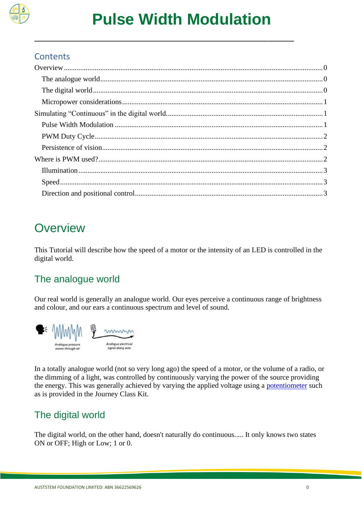

**\_\_\_\_\_\_\_\_\_\_\_\_\_\_\_\_\_\_\_\_\_\_\_\_\_\_\_\_\_\_\_\_\_\_\_\_\_\_\_\_\_\_\_\_\_\_\_\_\_\_\_\_\_\_\_\_\_\_\_\_\_**

#### **Contents**

# <span id="page-0-0"></span>**Overview**

This Tutorial will describe how the speed of a motor or the intensity of an LED is controlled in the digital world.

## <span id="page-0-1"></span>The analogue world

Our real world is generally an analogue world. Our eyes perceive a continuous range of brightness and colour, and our ears a continuous spectrum and level of sound.



In a totally analogue world (not so very long ago) the speed of a motor, or the volume of a radio, or the dimming of a light, was controlled by continuously varying the power of the source providing the energy. This was generally achieved by varying the applied voltage using a [potentiometer](http://kookaberry.auststem.com.au/peripheral/rotation-potentiometer/) such as is provided in the Journey Class Kit.

## <span id="page-0-2"></span>The digital world

The digital world, on the other hand, doesn't naturally do continuous..... It only knows two states ON or OFF; High or Low; 1 or 0.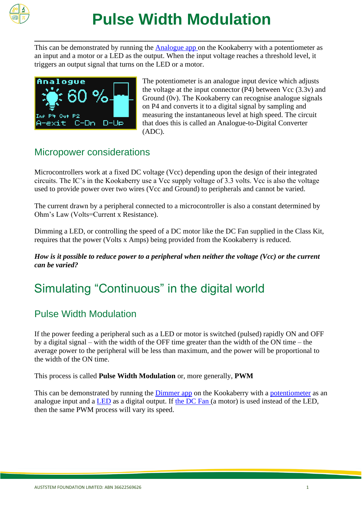

# **Pulse Width Modulation**

This can be demonstrated by running the [Analogue app o](http://kookaberry.auststem.com.au/app/analogue/)n the Kookaberry with a potentiometer as an input and a motor or a LED as the output. When the input voltage reaches a threshold level, it triggers an output signal that turns on the LED or a motor.

**\_\_\_\_\_\_\_\_\_\_\_\_\_\_\_\_\_\_\_\_\_\_\_\_\_\_\_\_\_\_\_\_\_\_\_\_\_\_\_\_\_\_\_\_\_\_\_\_\_\_\_\_\_\_\_\_\_\_\_\_\_**



The potentiometer is an analogue input device which adjusts the voltage at the input connector  $(P4)$  between Vcc  $(3.3v)$  and Ground (0v). The Kookaberry can recognise analogue signals on P4 and converts it to a digital signal by sampling and measuring the instantaneous level at high speed. The circuit that does this is called an Analogue-to-Digital Converter (ADC).

### <span id="page-1-0"></span>Micropower considerations

Microcontrollers work at a fixed DC voltage (Vcc) depending upon the design of their integrated circuits. The IC's in the Kookaberry use a Vcc supply voltage of 3.3 volts. Vcc is also the voltage used to provide power over two wires (Vcc and Ground) to peripherals and cannot be varied.

The current drawn by a peripheral connected to a microcontroller is also a constant determined by Ohm's Law (Volts=Current x Resistance).

Dimming a LED, or controlling the speed of a DC motor like the DC Fan supplied in the Class Kit, requires that the power (Volts x Amps) being provided from the Kookaberry is reduced.

*How is it possible to reduce power to a peripheral when neither the voltage (Vcc) or the current can be varied?*

# <span id="page-1-1"></span>Simulating "Continuous" in the digital world

### <span id="page-1-2"></span>Pulse Width Modulation

If the power feeding a peripheral such as a LED or motor is switched (pulsed) rapidly ON and OFF by a digital signal – with the width of the OFF time greater than the width of the ON time – the average power to the peripheral will be less than maximum, and the power will be proportional to the width of the ON time.

This process is called **Pulse Width Modulation** or, more generally, **PWM**

This can be demonstrated by running the [Dimmer app](http://kookaberry.auststem.com.au/app/dimmer/) on the Kookaberry with a [potentiometer](http://kookaberry.auststem.com.au/peripheral/rotation-potentiometer/) as an analogue input and a [LED](http://kookaberry.auststem.com.au/peripheral/led/) as a digital output. If [the DC Fan \(](http://kookaberry.auststem.com.au/peripheral/gravity-dc-fan-module/)a motor) is used instead of the LED, then the same PWM process will vary its speed.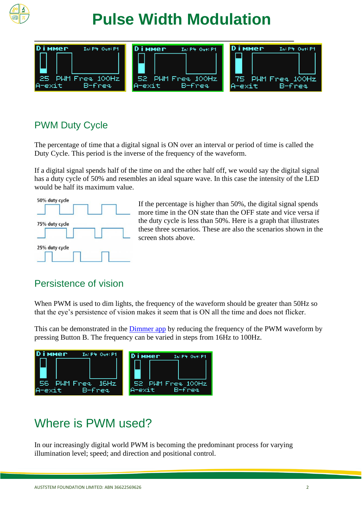

# **Pulse Width Modulation**



## <span id="page-2-0"></span>PWM Duty Cycle

The percentage of time that a digital signal is ON over an interval or period of time is called the Duty Cycle. This period is the inverse of the frequency of the waveform.

If a digital signal spends half of the time on and the other half off, we would say the digital signal has a duty cycle of 50% and resembles an ideal square wave. In this case the intensity of the LED would be half its maximum value.



If the percentage is higher than 50%, the digital signal spends more time in the ON state than the OFF state and vice versa if the duty cycle is less than 50%. Here is a graph that illustrates these three scenarios. These are also the scenarios shown in the screen shots above.

#### <span id="page-2-1"></span>Persistence of vision

When PWM is used to dim lights, the frequency of the waveform should be greater than 50Hz so that the eye's persistence of vision makes it seem that is ON all the time and does not flicker.

This can be demonstrated in the [Dimmer app](http://kookaberry.auststem.com.au/app/dimmer/) by reducing the frequency of the PWM waveform by pressing Button B. The frequency can be varied in steps from 16Hz to 100Hz.



# <span id="page-2-2"></span>Where is PWM used?

In our increasingly digital world PWM is becoming the predominant process for varying illumination level; speed; and direction and positional control.